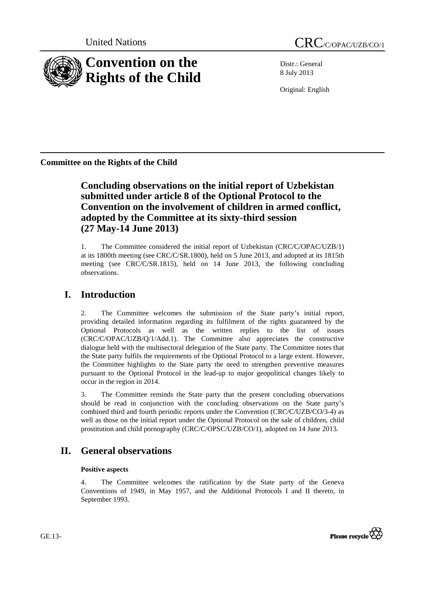

Distr.: General 8 July 2013

Original: English

**Committee on the Rights of the Child** 

## **Concluding observations on the initial report of Uzbekistan submitted under article 8 of the Optional Protocol to the Convention on the involvement of children in armed conflict, adopted by the Committee at its sixty-third session (27 May-14 June 2013)**

1. The Committee considered the initial report of Uzbekistan (CRC/C/OPAC/UZB/1) at its 1800th meeting (see CRC/C/SR.1800), held on 5 June 2013, and adopted at its 1815th meeting (see CRC/C/SR.1815), held on 14 June 2013, the following concluding observations.

# **I. Introduction**

2. The Committee welcomes the submission of the State party's initial report, providing detailed information regarding its fulfilment of the rights guaranteed by the Optional Protocols as well as the written replies to the list of issues (CRC/C/OPAC/UZB/Q/1/Add.1). The Committee also appreciates the constructive dialogue held with the multisectoral delegation of the State party. The Committee notes that the State party fulfils the requirements of the Optional Protocol to a large extent. However, the Committee highlights to the State party the need to strengthen preventive measures pursuant to the Optional Protocol in the lead-up to major geopolitical changes likely to occur in the region in 2014.

3. The Committee reminds the State party that the present concluding observations should be read in conjunction with the concluding observations on the State party's combined third and fourth periodic reports under the Convention (CRC/C/UZB/CO/3-4) as well as those on the initial report under the Optional Protocol on the sale of children, child prostitution and child pornography (CRC/C/OPSC/UZB/CO/1), adopted on 14 June 2013.

# **II. General observations**

## **Positive aspects**

4. The Committee welcomes the ratification by the State party of the Geneva Conventions of 1949, in May 1957, and the Additional Protocols I and II thereto, in September 1993.



GE.13-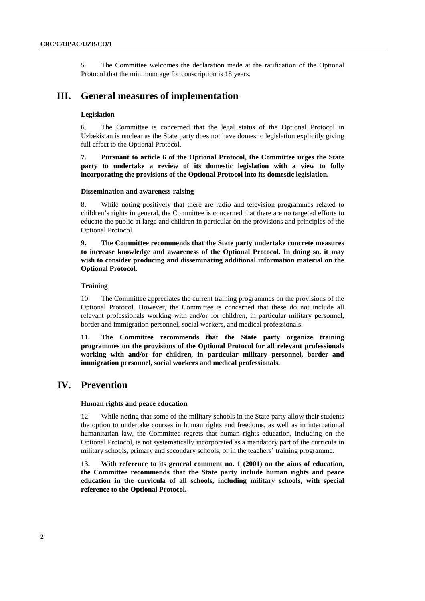5. The Committee welcomes the declaration made at the ratification of the Optional Protocol that the minimum age for conscription is 18 years.

## **III. General measures of implementation**

#### **Legislation**

6. The Committee is concerned that the legal status of the Optional Protocol in Uzbekistan is unclear as the State party does not have domestic legislation explicitly giving full effect to the Optional Protocol.

**7. Pursuant to article 6 of the Optional Protocol, the Committee urges the State party to undertake a review of its domestic legislation with a view to fully incorporating the provisions of the Optional Protocol into its domestic legislation.** 

#### **Dissemination and awareness-raising**

8. While noting positively that there are radio and television programmes related to children's rights in general, the Committee is concerned that there are no targeted efforts to educate the public at large and children in particular on the provisions and principles of the Optional Protocol.

**9. The Committee recommends that the State party undertake concrete measures to increase knowledge and awareness of the Optional Protocol. In doing so, it may wish to consider producing and disseminating additional information material on the Optional Protocol.** 

#### **Training**

10. The Committee appreciates the current training programmes on the provisions of the Optional Protocol. However, the Committee is concerned that these do not include all relevant professionals working with and/or for children, in particular military personnel, border and immigration personnel, social workers, and medical professionals.

**11. The Committee recommends that the State party organize training programmes on the provisions of the Optional Protocol for all relevant professionals working with and/or for children, in particular military personnel, border and immigration personnel, social workers and medical professionals.** 

## **IV. Prevention**

#### **Human rights and peace education**

12. While noting that some of the military schools in the State party allow their students the option to undertake courses in human rights and freedoms, as well as in international humanitarian law, the Committee regrets that human rights education, including on the Optional Protocol, is not systematically incorporated as a mandatory part of the curricula in military schools, primary and secondary schools, or in the teachers' training programme.

**13. With reference to its general comment no. 1 (2001) on the aims of education, the Committee recommends that the State party include human rights and peace education in the curricula of all schools, including military schools, with special reference to the Optional Protocol.**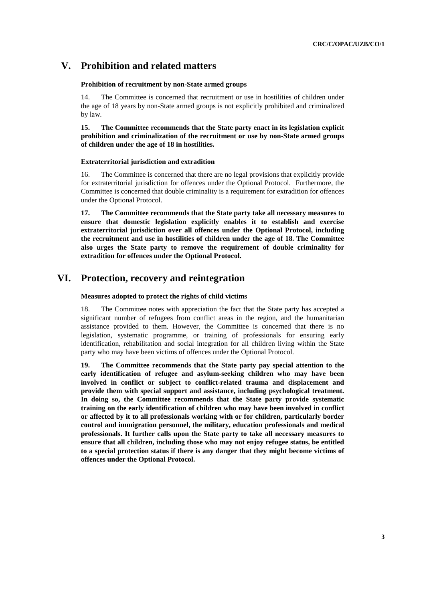## **V. Prohibition and related matters**

### **Prohibition of recruitment by non-State armed groups**

14. The Committee is concerned that recruitment or use in hostilities of children under the age of 18 years by non-State armed groups is not explicitly prohibited and criminalized by law.

**15. The Committee recommends that the State party enact in its legislation explicit prohibition and criminalization of the recruitment or use by non-State armed groups of children under the age of 18 in hostilities.** 

#### **Extraterritorial jurisdiction and extradition**

16. The Committee is concerned that there are no legal provisions that explicitly provide for extraterritorial jurisdiction for offences under the Optional Protocol. Furthermore, the Committee is concerned that double criminality is a requirement for extradition for offences under the Optional Protocol.

**17. The Committee recommends that the State party take all necessary measures to ensure that domestic legislation explicitly enables it to establish and exercise extraterritorial jurisdiction over all offences under the Optional Protocol, including the recruitment and use in hostilities of children under the age of 18. The Committee also urges the State party to remove the requirement of double criminality for extradition for offences under the Optional Protocol.**

## **VI. Protection, recovery and reintegration**

#### **Measures adopted to protect the rights of child victims**

18. The Committee notes with appreciation the fact that the State party has accepted a significant number of refugees from conflict areas in the region, and the humanitarian assistance provided to them. However, the Committee is concerned that there is no legislation, systematic programme, or training of professionals for ensuring early identification, rehabilitation and social integration for all children living within the State party who may have been victims of offences under the Optional Protocol.

**19. The Committee recommends that the State party pay special attention to the early identification of refugee and asylum-seeking children who may have been involved in conflict or subject to conflict-related trauma and displacement and provide them with special support and assistance, including psychological treatment. In doing so, the Committee recommends that the State party provide systematic training on the early identification of children who may have been involved in conflict or affected by it to all professionals working with or for children, particularly border control and immigration personnel, the military, education professionals and medical professionals. It further calls upon the State party to take all necessary measures to ensure that all children, including those who may not enjoy refugee status, be entitled to a special protection status if there is any danger that they might become victims of offences under the Optional Protocol.**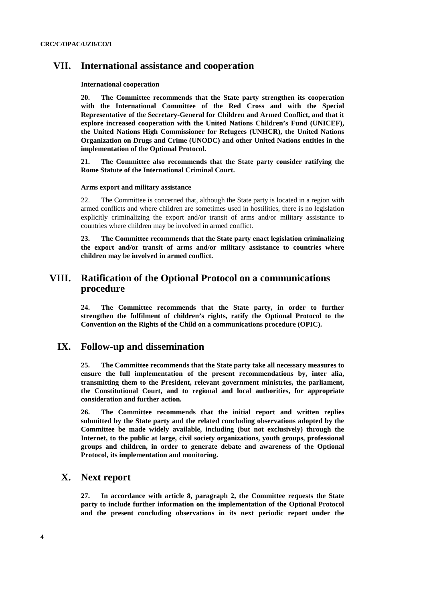## **VII. International assistance and cooperation**

#### **International cooperation**

**20. The Committee recommends that the State party strengthen its cooperation with the International Committee of the Red Cross and with the Special Representative of the Secretary-General for Children and Armed Conflict, and that it explore increased cooperation with the United Nations Children's Fund (UNICEF), the United Nations High Commissioner for Refugees (UNHCR), the United Nations Organization on Drugs and Crime (UNODC) and other United Nations entities in the implementation of the Optional Protocol.** 

**21. The Committee also recommends that the State party consider ratifying the Rome Statute of the International Criminal Court.** 

#### **Arms export and military assistance**

22. The Committee is concerned that, although the State party is located in a region with armed conflicts and where children are sometimes used in hostilities, there is no legislation explicitly criminalizing the export and/or transit of arms and/or military assistance to countries where children may be involved in armed conflict.

**23. The Committee recommends that the State party enact legislation criminalizing the export and/or transit of arms and/or military assistance to countries where children may be involved in armed conflict.** 

## **VIII. Ratification of the Optional Protocol on a communications procedure**

**24. The Committee recommends that the State party, in order to further strengthen the fulfilment of children's rights, ratify the Optional Protocol to the Convention on the Rights of the Child on a communications procedure (OPIC).** 

### **IX. Follow-up and dissemination**

**25. The Committee recommends that the State party take all necessary measures to ensure the full implementation of the present recommendations by, inter alia, transmitting them to the President, relevant government ministries, the parliament, the Constitutional Court, and to regional and local authorities, for appropriate consideration and further action.** 

**26. The Committee recommends that the initial report and written replies submitted by the State party and the related concluding observations adopted by the Committee be made widely available, including (but not exclusively) through the Internet, to the public at large, civil society organizations, youth groups, professional groups and children, in order to generate debate and awareness of the Optional Protocol, its implementation and monitoring.** 

### **X. Next report**

**27. In accordance with article 8, paragraph 2, the Committee requests the State party to include further information on the implementation of the Optional Protocol and the present concluding observations in its next periodic report under the**